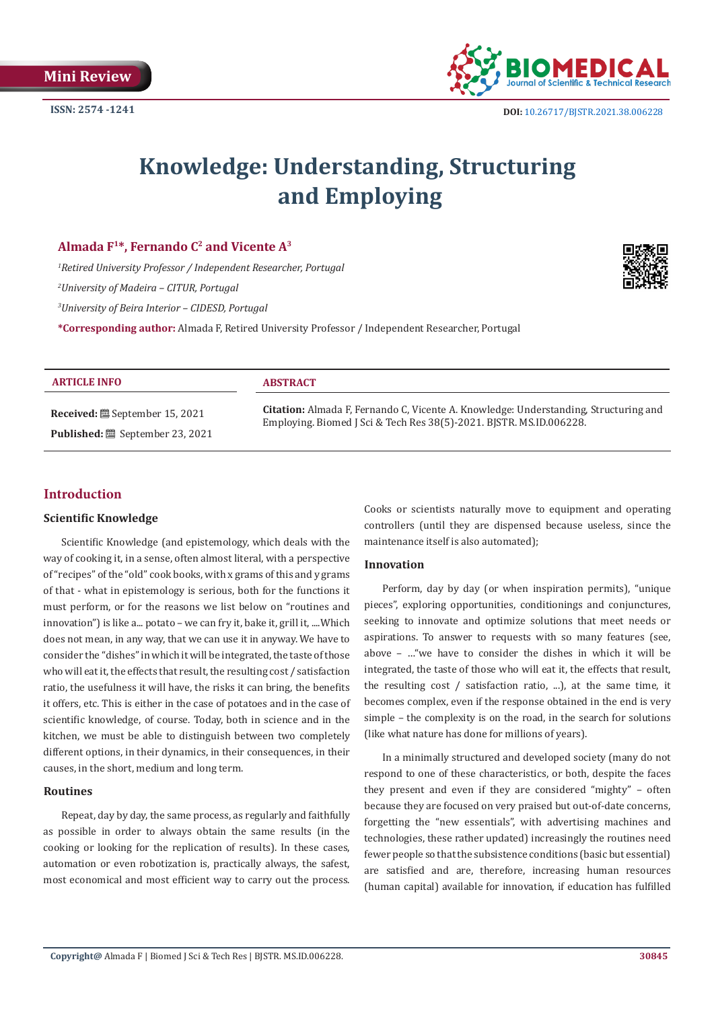

# **Knowledge: Understanding, Structuring and Employing**

# Almada F<sup>1\*</sup>, Fernando C<sup>2</sup> and Vicente A<sup>3</sup>

 *Retired University Professor / Independent Researcher, Portugal University of Madeira – CITUR, Portugal University of Beira Interior – CIDESD, Portugal* **\*Corresponding author:** Almada F, Retired University Professor / Independent Researcher, Portugal



**ARTICLE INFO ABSTRACT Received:** September 15, 2021 **Published:** September 23, 2021 **Citation:** Almada F, Fernando C, Vicente A. Knowledge: Understanding, Structuring and Employing. Biomed J Sci & Tech Res 38(5)-2021. BJSTR. MS.ID.006228.

# **Introduction**

#### **Scientific Knowledge**

Scientific Knowledge (and epistemology, which deals with the way of cooking it, in a sense, often almost literal, with a perspective of "recipes" of the "old" cook books, with x grams of this and y grams of that - what in epistemology is serious, both for the functions it must perform, or for the reasons we list below on "routines and innovation") is like a... potato – we can fry it, bake it, grill it, ....Which does not mean, in any way, that we can use it in anyway. We have to consider the "dishes" in which it will be integrated, the taste of those who will eat it, the effects that result, the resulting cost / satisfaction ratio, the usefulness it will have, the risks it can bring, the benefits it offers, etc. This is either in the case of potatoes and in the case of scientific knowledge, of course. Today, both in science and in the kitchen, we must be able to distinguish between two completely different options, in their dynamics, in their consequences, in their causes, in the short, medium and long term.

#### **Routines**

Repeat, day by day, the same process, as regularly and faithfully as possible in order to always obtain the same results (in the cooking or looking for the replication of results). In these cases, automation or even robotization is, practically always, the safest, most economical and most efficient way to carry out the process.

Cooks or scientists naturally move to equipment and operating controllers (until they are dispensed because useless, since the maintenance itself is also automated);

#### **Innovation**

Perform, day by day (or when inspiration permits), "unique pieces", exploring opportunities, conditionings and conjunctures, seeking to innovate and optimize solutions that meet needs or aspirations. To answer to requests with so many features (see, above – …"we have to consider the dishes in which it will be integrated, the taste of those who will eat it, the effects that result, the resulting cost / satisfaction ratio, ...), at the same time, it becomes complex, even if the response obtained in the end is very simple – the complexity is on the road, in the search for solutions (like what nature has done for millions of years).

In a minimally structured and developed society (many do not respond to one of these characteristics, or both, despite the faces they present and even if they are considered "mighty" – often because they are focused on very praised but out-of-date concerns, forgetting the "new essentials", with advertising machines and technologies, these rather updated) increasingly the routines need fewer people so that the subsistence conditions (basic but essential) are satisfied and are, therefore, increasing human resources (human capital) available for innovation, if education has fulfilled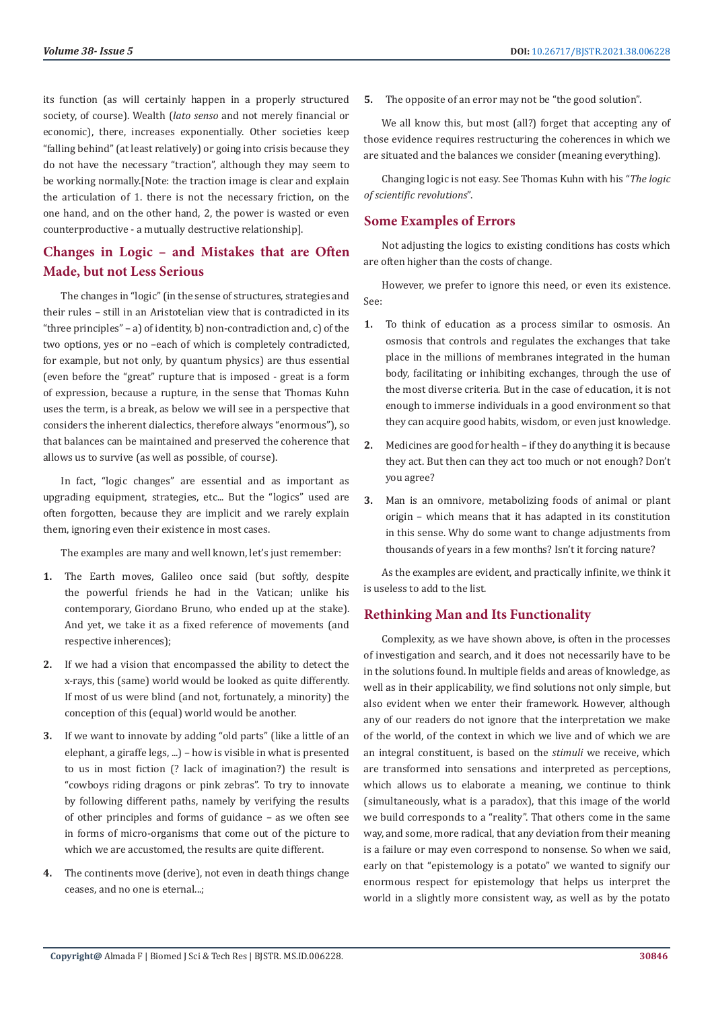its function (as will certainly happen in a properly structured society, of course). Wealth (*lato senso* and not merely financial or economic), there, increases exponentially. Other societies keep "falling behind" (at least relatively) or going into crisis because they do not have the necessary "traction", although they may seem to be working normally.[Note: the traction image is clear and explain the articulation of 1. there is not the necessary friction, on the one hand, and on the other hand, 2, the power is wasted or even counterproductive - a mutually destructive relationship].

# **Changes in Logic – and Mistakes that are Often Made, but not Less Serious**

The changes in "logic" (in the sense of structures, strategies and their rules – still in an Aristotelian view that is contradicted in its "three principles" – a) of identity, b) non-contradiction and, c) of the two options, yes or no –each of which is completely contradicted, for example, but not only, by quantum physics) are thus essential (even before the "great" rupture that is imposed - great is a form of expression, because a rupture, in the sense that Thomas Kuhn uses the term, is a break, as below we will see in a perspective that considers the inherent dialectics, therefore always "enormous"), so that balances can be maintained and preserved the coherence that allows us to survive (as well as possible, of course).

In fact, "logic changes" are essential and as important as upgrading equipment, strategies, etc... But the "logics" used are often forgotten, because they are implicit and we rarely explain them, ignoring even their existence in most cases.

The examples are many and well known, let's just remember:

- **1.** The Earth moves, Galileo once said (but softly, despite the powerful friends he had in the Vatican; unlike his contemporary, Giordano Bruno, who ended up at the stake). And yet, we take it as a fixed reference of movements (and respective inherences);
- **2.** If we had a vision that encompassed the ability to detect the x-rays, this (same) world would be looked as quite differently. If most of us were blind (and not, fortunately, a minority) the conception of this (equal) world would be another.
- **3.** If we want to innovate by adding "old parts" (like a little of an elephant, a giraffe legs, ...) – how is visible in what is presented to us in most fiction (? lack of imagination?) the result is "cowboys riding dragons or pink zebras". To try to innovate by following different paths, namely by verifying the results of other principles and forms of guidance – as we often see in forms of micro-organisms that come out of the picture to which we are accustomed, the results are quite different.
- **4.** The continents move (derive), not even in death things change ceases, and no one is eternal...;

**5.** The opposite of an error may not be "the good solution".

We all know this, but most (all?) forget that accepting any of those evidence requires restructuring the coherences in which we are situated and the balances we consider (meaning everything).

Changing logic is not easy. See Thomas Kuhn with his "*The logic of scientific revolutions*".

# **Some Examples of Errors**

Not adjusting the logics to existing conditions has costs which are often higher than the costs of change.

However, we prefer to ignore this need, or even its existence. See:

- **1.** To think of education as a process similar to osmosis. An osmosis that controls and regulates the exchanges that take place in the millions of membranes integrated in the human body, facilitating or inhibiting exchanges, through the use of the most diverse criteria. But in the case of education, it is not enough to immerse individuals in a good environment so that they can acquire good habits, wisdom, or even just knowledge.
- **2.** Medicines are good for health if they do anything it is because they act. But then can they act too much or not enough? Don't you agree?
- **3.** Man is an omnivore, metabolizing foods of animal or plant origin – which means that it has adapted in its constitution in this sense. Why do some want to change adjustments from thousands of years in a few months? Isn't it forcing nature?

As the examples are evident, and practically infinite, we think it is useless to add to the list.

# **Rethinking Man and Its Functionality**

Complexity, as we have shown above, is often in the processes of investigation and search, and it does not necessarily have to be in the solutions found. In multiple fields and areas of knowledge, as well as in their applicability, we find solutions not only simple, but also evident when we enter their framework. However, although any of our readers do not ignore that the interpretation we make of the world, of the context in which we live and of which we are an integral constituent, is based on the *stimuli* we receive, which are transformed into sensations and interpreted as perceptions, which allows us to elaborate a meaning, we continue to think (simultaneously, what is a paradox), that this image of the world we build corresponds to a "reality". That others come in the same way, and some, more radical, that any deviation from their meaning is a failure or may even correspond to nonsense. So when we said, early on that "epistemology is a potato" we wanted to signify our enormous respect for epistemology that helps us interpret the world in a slightly more consistent way, as well as by the potato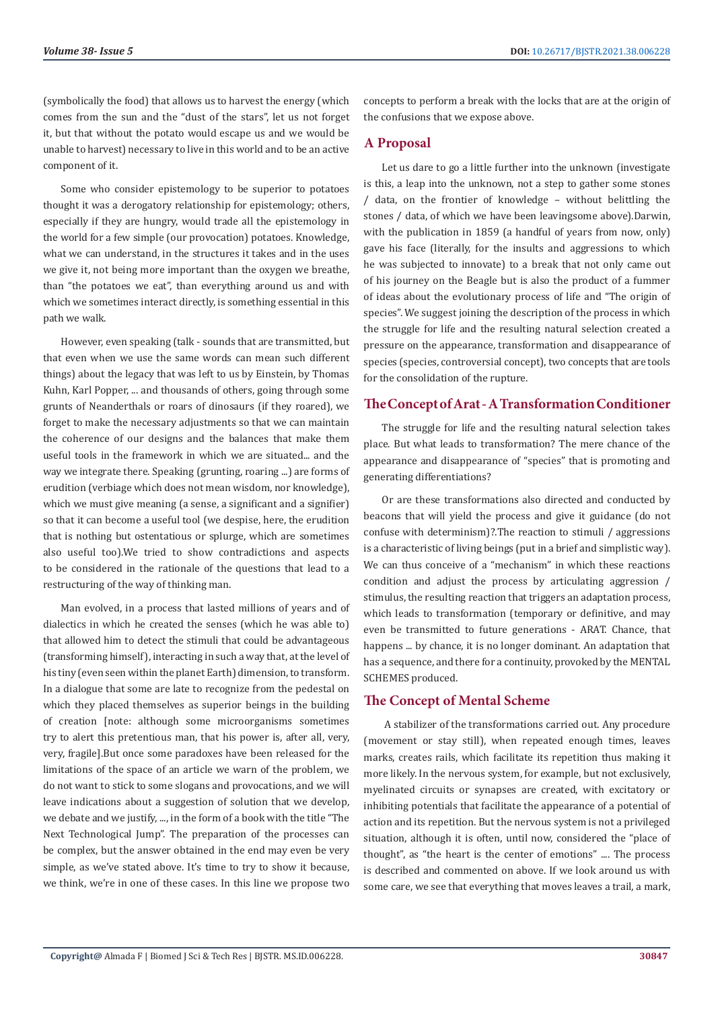(symbolically the food) that allows us to harvest the energy (which comes from the sun and the "dust of the stars", let us not forget it, but that without the potato would escape us and we would be unable to harvest) necessary to live in this world and to be an active component of it.

Some who consider epistemology to be superior to potatoes thought it was a derogatory relationship for epistemology; others, especially if they are hungry, would trade all the epistemology in the world for a few simple (our provocation) potatoes. Knowledge, what we can understand, in the structures it takes and in the uses we give it, not being more important than the oxygen we breathe, than "the potatoes we eat", than everything around us and with which we sometimes interact directly, is something essential in this path we walk.

However, even speaking (talk - sounds that are transmitted, but that even when we use the same words can mean such different things) about the legacy that was left to us by Einstein, by Thomas Kuhn, Karl Popper, ... and thousands of others, going through some grunts of Neanderthals or roars of dinosaurs (if they roared), we forget to make the necessary adjustments so that we can maintain the coherence of our designs and the balances that make them useful tools in the framework in which we are situated... and the way we integrate there. Speaking (grunting, roaring ...) are forms of erudition (verbiage which does not mean wisdom, nor knowledge), which we must give meaning (a sense, a significant and a signifier) so that it can become a useful tool (we despise, here, the erudition that is nothing but ostentatious or splurge, which are sometimes also useful too).We tried to show contradictions and aspects to be considered in the rationale of the questions that lead to a restructuring of the way of thinking man.

Man evolved, in a process that lasted millions of years and of dialectics in which he created the senses (which he was able to) that allowed him to detect the stimuli that could be advantageous (transforming himself), interacting in such a way that, at the level of his tiny (even seen within the planet Earth) dimension, to transform. In a dialogue that some are late to recognize from the pedestal on which they placed themselves as superior beings in the building of creation [note: although some microorganisms sometimes try to alert this pretentious man, that his power is, after all, very, very, fragile].But once some paradoxes have been released for the limitations of the space of an article we warn of the problem, we do not want to stick to some slogans and provocations, and we will leave indications about a suggestion of solution that we develop, we debate and we justify, ..., in the form of a book with the title "The Next Technological Jump". The preparation of the processes can be complex, but the answer obtained in the end may even be very simple, as we've stated above. It's time to try to show it because, we think, we're in one of these cases. In this line we propose two

concepts to perform a break with the locks that are at the origin of the confusions that we expose above.

### **A Proposal**

Let us dare to go a little further into the unknown (investigate is this, a leap into the unknown, not a step to gather some stones / data, on the frontier of knowledge – without belittling the stones / data, of which we have been leavingsome above).Darwin, with the publication in 1859 (a handful of years from now, only) gave his face (literally, for the insults and aggressions to which he was subjected to innovate) to a break that not only came out of his journey on the Beagle but is also the product of a fummer of ideas about the evolutionary process of life and "The origin of species". We suggest joining the description of the process in which the struggle for life and the resulting natural selection created a pressure on the appearance, transformation and disappearance of species (species, controversial concept), two concepts that are tools for the consolidation of the rupture.

### **The Concept of Arat - A Transformation Conditioner**

The struggle for life and the resulting natural selection takes place. But what leads to transformation? The mere chance of the appearance and disappearance of "species" that is promoting and generating differentiations?

Or are these transformations also directed and conducted by beacons that will yield the process and give it guidance (do not confuse with determinism)?.The reaction to stimuli / aggressions is a characteristic of living beings (put in a brief and simplistic way). We can thus conceive of a "mechanism" in which these reactions condition and adjust the process by articulating aggression / stimulus, the resulting reaction that triggers an adaptation process, which leads to transformation (temporary or definitive, and may even be transmitted to future generations - ARAT. Chance, that happens ... by chance, it is no longer dominant. An adaptation that has a sequence, and there for a continuity, provoked by the MENTAL SCHEMES produced.

# **The Concept of Mental Scheme**

 A stabilizer of the transformations carried out. Any procedure (movement or stay still), when repeated enough times, leaves marks, creates rails, which facilitate its repetition thus making it more likely. In the nervous system, for example, but not exclusively, myelinated circuits or synapses are created, with excitatory or inhibiting potentials that facilitate the appearance of a potential of action and its repetition. But the nervous system is not a privileged situation, although it is often, until now, considered the "place of thought", as "the heart is the center of emotions" .... The process is described and commented on above. If we look around us with some care, we see that everything that moves leaves a trail, a mark,